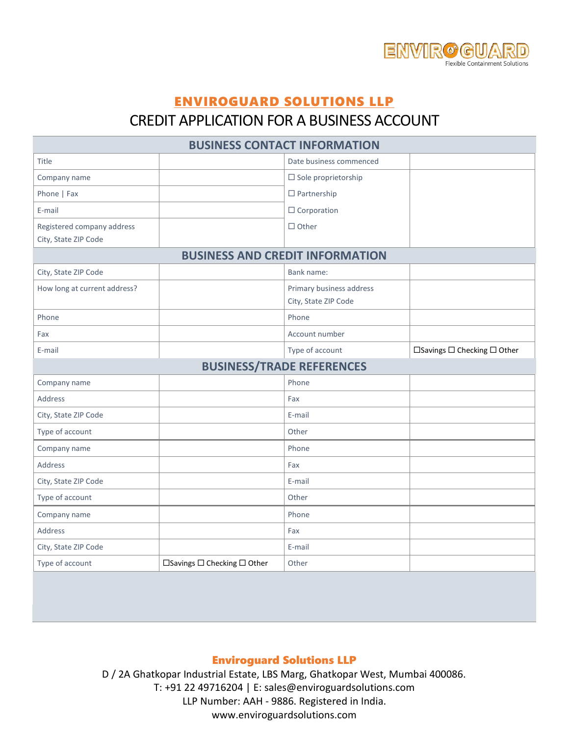

# ENVIROGUARD SOLUTIONS LLP

## CREDIT APPLICATION FOR A BUSINESS ACCOUNT

| <b>BUSINESS CONTACT INFORMATION</b>    |                                             |                               |                                             |  |  |
|----------------------------------------|---------------------------------------------|-------------------------------|---------------------------------------------|--|--|
| <b>Title</b>                           |                                             | Date business commenced       |                                             |  |  |
| Company name                           |                                             | $\square$ Sole proprietorship |                                             |  |  |
| Phone   Fax                            |                                             | $\Box$ Partnership            |                                             |  |  |
| E-mail                                 |                                             | $\Box$ Corporation            |                                             |  |  |
| Registered company address             |                                             | $\Box$ Other                  |                                             |  |  |
| City, State ZIP Code                   |                                             |                               |                                             |  |  |
| <b>BUSINESS AND CREDIT INFORMATION</b> |                                             |                               |                                             |  |  |
| City, State ZIP Code                   |                                             | Bank name:                    |                                             |  |  |
| How long at current address?           |                                             | Primary business address      |                                             |  |  |
|                                        |                                             | City, State ZIP Code          |                                             |  |  |
| Phone                                  |                                             | Phone                         |                                             |  |  |
| Fax                                    |                                             | Account number                |                                             |  |  |
| E-mail                                 |                                             | Type of account               | $\Box$ Savings $\Box$ Checking $\Box$ Other |  |  |
| <b>BUSINESS/TRADE REFERENCES</b>       |                                             |                               |                                             |  |  |
| Company name                           |                                             | Phone                         |                                             |  |  |
| <b>Address</b>                         |                                             | Fax                           |                                             |  |  |
| City, State ZIP Code                   |                                             | E-mail                        |                                             |  |  |
| Type of account                        |                                             | Other                         |                                             |  |  |
| Company name                           |                                             | Phone                         |                                             |  |  |
| Address                                |                                             | Fax                           |                                             |  |  |
| City, State ZIP Code                   |                                             | E-mail                        |                                             |  |  |
| Type of account                        |                                             | Other                         |                                             |  |  |
| Company name                           |                                             | Phone                         |                                             |  |  |
| Address                                |                                             | Fax                           |                                             |  |  |
| City, State ZIP Code                   |                                             | E-mail                        |                                             |  |  |
| Type of account                        | $\Box$ Savings $\Box$ Checking $\Box$ Other | Other                         |                                             |  |  |

### Enviroguard Solutions LLP

D / 2A Ghatkopar Industrial Estate, LBS Marg, Ghatkopar West, Mumbai 400086. T: +91 22 49716204 | E: sales@enviroguardsolutions.com LLP Number: AAH - 9886. Registered in India. www.enviroguardsolutions.com